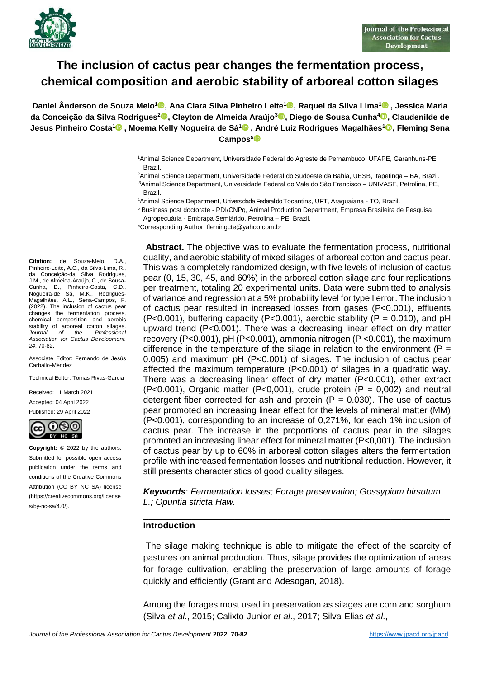

# **The inclusion of cactus pear changes the fermentation process, chemical composition and aerobic stability of arboreal cotton silages**

**Daniel Ânderson de Souza Melo<sup>1</sup> , Ana Clara Silva Pinheiro Leite[1](https://orcid.org/0000-0002-8799-9018) , Raquel da Silva Lima<sup>1</sup> , Jessica Maria da Conceição da Silva Rodrigues[2](https://orcid.org/000-001-8434-2451) , Cleyton de Almeida Araújo<sup>3</sup> , Diego de Sousa Cunha<sup>4</sup> , Claudenilde de Jesus Pinheiro Costa<sup>1</sup> , Moema Kelly Nogueira de Sá<sup>1</sup> , André Luiz Rodrigues Magalhães<sup>1</sup> , Fleming Sena Campos<sup>5</sup>**

> <sup>1</sup>Animal Science Department, Universidade Federal do Agreste de Pernambuco, UFAPE, Garanhuns-PE, Brazil.

> <sup>2</sup>Animal Science Department, Universidade Federal do Sudoeste da Bahia, UESB, Itapetinga – BA, Brazil. <sup>3</sup>Animal Science Department, Universidade Federal do Vale do São Francisco – UNIVASF, Petrolina, PE, Brazil.

<sup>4</sup>Animal Science Department, Universidade Federal do Tocantins, UFT, Araguaiana - TO, Brazil.

<sup>5</sup> Business post doctorate - PDI/CNPq, Animal Production Department, Empresa Brasileira de Pesquisa Agropecuária - Embrapa Semiárido, Petrolina – PE, Brazil.

\*Corresponding Author: flemingcte@yahoo.com.br

**Citation:** de Souza-Melo, D.A., Pinheiro-Leite, A.C., da Silva-Lima, R., da Conceiҫão-da Silva Rodrigues, J.M., de Almeida-Araújo, C., de Sousa-Cunha, D., Pinheiro-Costa, C.D., Nogueira-de Sá, M.K., Rodrigues-Magalhães, A.L., Sena-Campos, F. (2022). The inclusion of cactus pear changes the fermentation process, chemical composition and aerobic stability of arboreal cotton silages. *Journal of the. Professional Association for Cactus Development. 24*, 70-82.

Associate Editor: Fernando de Jesús Carballo-Méndez

Technical Editor: Tomas Rivas-Garcia

Received: 11 March 2021 Accepted: 04 April 2022 Published: 29 April 2022



**Copyright:** © 2022 by the authors. Submitted for possible open access publication under the terms and conditions of the Creative Commons Attribution (CC BY NC SA) license (https://creativecommons.org/license s/by-nc-sa/4.0/).

**Abstract.** The objective was to evaluate the fermentation process, nutritional quality, and aerobic stability of mixed silages of arboreal cotton and cactus pear. This was a completely randomized design, with five levels of inclusion of cactus pear (0, 15, 30, 45, and 60%) in the arboreal cotton silage and four replications per treatment, totaling 20 experimental units. Data were submitted to analysis of variance and regression at a 5% probability level for type I error. The inclusion of cactus pear resulted in increased losses from gases (P<0.001), effluents  $(P<0.001)$ , buffering capacity  $(P<0.001)$ , aerobic stability  $(P = 0.010)$ , and pH upward trend (P<0.001). There was a decreasing linear effect on dry matter recovery (P<0.001), pH (P<0.001), ammonia nitrogen (P <0.001), the maximum difference in the temperature of the silage in relation to the environment ( $P =$ 0.005) and maximum pH (P<0.001) of silages. The inclusion of cactus pear affected the maximum temperature (P<0.001) of silages in a quadratic way. There was a decreasing linear effect of dry matter (P<0.001), ether extract  $(P<0.001)$ , Organic matter  $(P<0.001)$ , crude protein  $(P = 0.002)$  and neutral detergent fiber corrected for ash and protein  $(P = 0.030)$ . The use of cactus pear promoted an increasing linear effect for the levels of mineral matter (MM) (P<0.001), corresponding to an increase of 0,271%, for each 1% inclusion of cactus pear. The increase in the proportions of cactus pear in the silages promoted an increasing linear effect for mineral matter (P<0,001). The inclusion of cactus pear by up to 60% in arboreal cotton silages alters the fermentation profile with increased fermentation losses and nutritional reduction. However, it still presents characteristics of good quality silages.

*Keywords*: *Fermentation losses; Forage preservation; Gossypium hirsutum L.; Opuntia stricta Haw.*

\_\_\_\_\_\_\_\_\_\_\_\_\_\_\_\_\_\_\_\_\_\_\_\_\_\_\_\_\_\_\_\_\_\_\_\_\_\_\_\_\_\_\_\_\_\_\_\_\_\_\_\_\_\_\_\_\_

#### **Introduction**

The silage making technique is able to mitigate the effect of the scarcity of pastures on animal production. Thus, silage provides the optimization of areas for forage cultivation, enabling the preservation of large amounts of forage quickly and efficiently (Grant and Adesogan, 2018).

Among the forages most used in preservation as silages are corn and sorghum (Silva *et al*., 2015; Calixto-Junior *et al*., 2017; Silva-Elias *et al*.,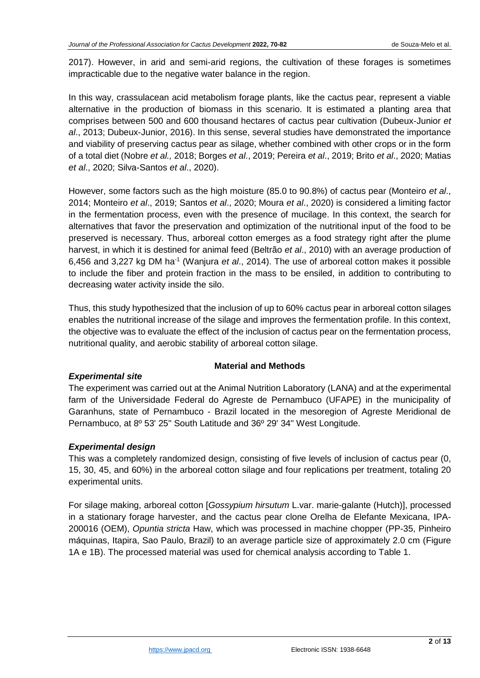2017). However, in arid and semi-arid regions, the cultivation of these forages is sometimes impracticable due to the negative water balance in the region.

In this way, crassulacean acid metabolism forage plants, like the cactus pear, represent a viable alternative in the production of biomass in this scenario. It is estimated a planting area that comprises between 500 and 600 thousand hectares of cactus pear cultivation (Dubeux-Junior *et al*., 2013; Dubeux-Junior, 2016). In this sense, several studies have demonstrated the importance and viability of preserving cactus pear as silage, whether combined with other crops or in the form of a total diet (Nobre *et al.,* 2018; Borges *et al*., 2019; Pereira *et al*., 2019; Brito *et al*., 2020; Matias *et al*., 2020; Silva-Santos *et al*., 2020).

However, some factors such as the high moisture (85.0 to 90.8%) of cactus pear (Monteiro *et al*., 2014; Monteiro *et al*., 2019; Santos *et al*., 2020; Moura *et al*., 2020) is considered a limiting factor in the fermentation process, even with the presence of mucilage. In this context, the search for alternatives that favor the preservation and optimization of the nutritional input of the food to be preserved is necessary. Thus, arboreal cotton emerges as a food strategy right after the plume harvest, in which it is destined for animal feed (Beltrão *et al*., 2010) with an average production of 6,456 and 3,227 kg DM ha<sup>-1</sup> (Wanjura *et al.*, 2014). The use of arboreal cotton makes it possible to include the fiber and protein fraction in the mass to be ensiled, in addition to contributing to decreasing water activity inside the silo.

Thus, this study hypothesized that the inclusion of up to 60% cactus pear in arboreal cotton silages enables the nutritional increase of the silage and improves the fermentation profile. In this context, the objective was to evaluate the effect of the inclusion of cactus pear on the fermentation process, nutritional quality, and aerobic stability of arboreal cotton silage.

## **Material and Methods**

## *Experimental site*

The experiment was carried out at the Animal Nutrition Laboratory (LANA) and at the experimental farm of the Universidade Federal do Agreste de Pernambuco (UFAPE) in the municipality of Garanhuns, state of Pernambuco - Brazil located in the mesoregion of Agreste Meridional de Pernambuco, at 8º 53' 25'' South Latitude and 36º 29' 34'' West Longitude.

## *Experimental design*

This was a completely randomized design, consisting of five levels of inclusion of cactus pear (0, 15, 30, 45, and 60%) in the arboreal cotton silage and four replications per treatment, totaling 20 experimental units.

For silage making, arboreal cotton [*Gossypium hirsutum* L.var. marie-galante (Hutch)], processed in a stationary forage harvester, and the cactus pear clone Orelha de Elefante Mexicana, IPA-200016 (OEM), *Opuntia stricta* Haw, which was processed in machine chopper (PP-35, Pinheiro máquinas, Itapira, Sao Paulo, Brazil) to an average particle size of approximately 2.0 cm (Figure 1A e 1B). The processed material was used for chemical analysis according to Table 1.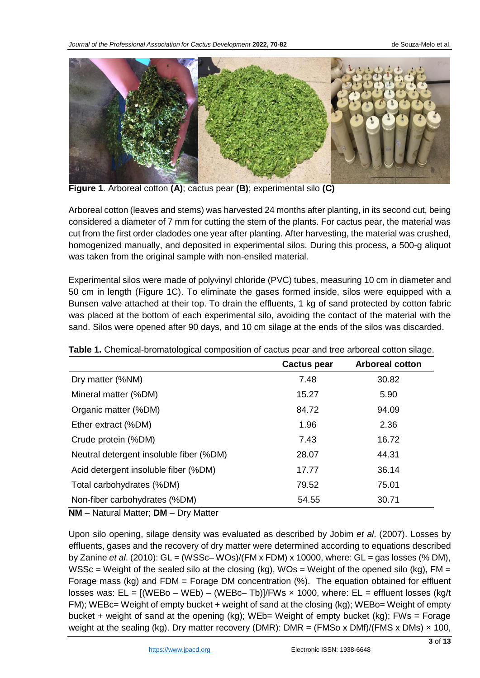

**Figure 1**. Arboreal cotton **(A)**; cactus pear **(B)**; experimental silo **(C)**

Arboreal cotton (leaves and stems) was harvested 24 months after planting, in its second cut, being considered a diameter of 7 mm for cutting the stem of the plants. For cactus pear, the material was cut from the first order cladodes one year after planting. After harvesting, the material was crushed, homogenized manually, and deposited in experimental silos. During this process, a 500-g aliquot was taken from the original sample with non-ensiled material.

Experimental silos were made of polyvinyl chloride (PVC) tubes, measuring 10 cm in diameter and 50 cm in length (Figure 1C). To eliminate the gases formed inside, silos were equipped with a Bunsen valve attached at their top. To drain the effluents, 1 kg of sand protected by cotton fabric was placed at the bottom of each experimental silo, avoiding the contact of the material with the sand. Silos were opened after 90 days, and 10 cm silage at the ends of the silos was discarded.

|                                         | <b>Cactus pear</b> | <b>Arboreal cotton</b> |
|-----------------------------------------|--------------------|------------------------|
| Dry matter (%NM)                        | 7.48               | 30.82                  |
| Mineral matter (%DM)                    | 15.27              | 5.90                   |
| Organic matter (%DM)                    | 84.72              | 94.09                  |
| Ether extract (%DM)                     | 1.96               | 2.36                   |
| Crude protein (%DM)                     | 7.43               | 16.72                  |
| Neutral detergent insoluble fiber (%DM) | 28.07              | 44.31                  |
| Acid detergent insoluble fiber (%DM)    | 17.77              | 36.14                  |
| Total carbohydrates (%DM)               | 79.52              | 75.01                  |
| Non-fiber carbohydrates (%DM)           | 54.55              | 30.71                  |

**Table 1.** Chemical-bromatological composition of cactus pear and tree arboreal cotton silage.

**NM** – Natural Matter; **DM** – Dry Matter

Upon silo opening, silage density was evaluated as described by Jobim *et al*. (2007). Losses by effluents, gases and the recovery of dry matter were determined according to equations described by Zanine *et al*. (2010): GL = (WSSc– WOs)/(FM x FDM) x 10000, where: GL = gas losses (% DM), WSSc = Weight of the sealed silo at the closing (kg), WOs = Weight of the opened silo (kg), FM = Forage mass (kg) and FDM = Forage DM concentration (%). The equation obtained for effluent losses was:  $EL = [(WEBo - WEB) - (WEBc - Tb)]/FWs \times 1000$ , where:  $EL = eff$ luent losses (kg/t) FM); WEBc= Weight of empty bucket + weight of sand at the closing (kg); WEBo= Weight of empty bucket + weight of sand at the opening (kg); WEb= Weight of empty bucket (kg); FWs = Forage weight at the sealing (kg). Dry matter recovery (DMR): DMR = (FMSo x DMf)/(FMS x DMs)  $\times$  100,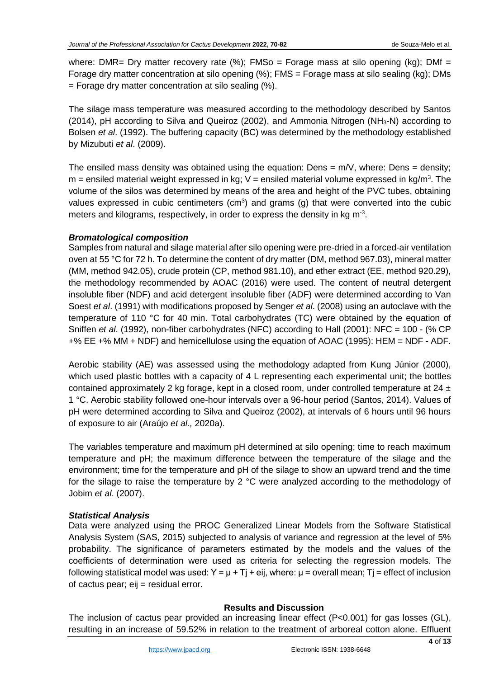where: DMR= Dry matter recovery rate  $(\%)$ ; FMSo = Forage mass at silo opening (kg); DMf = Forage dry matter concentration at silo opening (%); FMS = Forage mass at silo sealing (kg); DMs  $=$  Forage dry matter concentration at silo sealing (%).

The silage mass temperature was measured according to the methodology described by Santos (2014), pH according to Silva and Queiroz (2002), and Ammonia Nitrogen (NH $_3$ -N) according to Bolsen *et al*. (1992). The buffering capacity (BC) was determined by the methodology established by Mizubuti *et al*. (2009).

The ensiled mass density was obtained using the equation: Dens =  $m/V$ , where: Dens = density;  $m =$  ensiled material weight expressed in kg;  $V =$  ensiled material volume expressed in kg/m<sup>3</sup>. The volume of the silos was determined by means of the area and height of the PVC tubes, obtaining values expressed in cubic centimeters ( $cm<sup>3</sup>$ ) and grams (g) that were converted into the cubic meters and kilograms, respectively, in order to express the density in kg  $m<sup>-3</sup>$ .

#### *Bromatological composition*

Samples from natural and silage material after silo opening were pre-dried in a forced-air ventilation oven at 55 °C for 72 h. To determine the content of dry matter (DM, method 967.03), mineral matter (MM, method 942.05), crude protein (CP, method 981.10), and ether extract (EE, method 920.29), the methodology recommended by AOAC (2016) were used. The content of neutral detergent insoluble fiber (NDF) and acid detergent insoluble fiber (ADF) were determined according to Van Soest *et al*. (1991) with modifications proposed by Senger *et al*. (2008) using an autoclave with the temperature of 110 °C for 40 min. Total carbohydrates (TC) were obtained by the equation of Sniffen *et al*. (1992), non-fiber carbohydrates (NFC) according to Hall (2001): NFC = 100 - (% CP +% EE +% MM + NDF) and hemicellulose using the equation of AOAC (1995): HEM = NDF - ADF.

Aerobic stability (AE) was assessed using the methodology adapted from Kung Júnior (2000), which used plastic bottles with a capacity of 4 L representing each experimental unit; the bottles contained approximately 2 kg forage, kept in a closed room, under controlled temperature at  $24 \pm$ 1 °C. Aerobic stability followed one-hour intervals over a 96-hour period (Santos, 2014). Values of pH were determined according to Silva and Queiroz (2002), at intervals of 6 hours until 96 hours of exposure to air (Araújo *et al.,* 2020a).

The variables temperature and maximum pH determined at silo opening; time to reach maximum temperature and pH; the maximum difference between the temperature of the silage and the environment; time for the temperature and pH of the silage to show an upward trend and the time for the silage to raise the temperature by 2 °C were analyzed according to the methodology of Jobim *et al*. (2007).

## *Statistical Analysis*

Data were analyzed using the PROC Generalized Linear Models from the Software Statistical Analysis System (SAS, 2015) subjected to analysis of variance and regression at the level of 5% probability. The significance of parameters estimated by the models and the values of the coefficients of determination were used as criteria for selecting the regression models. The following statistical model was used: Y =  $\mu$  + Tj + eij, where:  $\mu$  = overall mean; Tj = effect of inclusion of cactus pear; eij = residual error.

#### **Results and Discussion**

The inclusion of cactus pear provided an increasing linear effect (P<0.001) for gas losses (GL), resulting in an increase of 59.52% in relation to the treatment of arboreal cotton alone. Effluent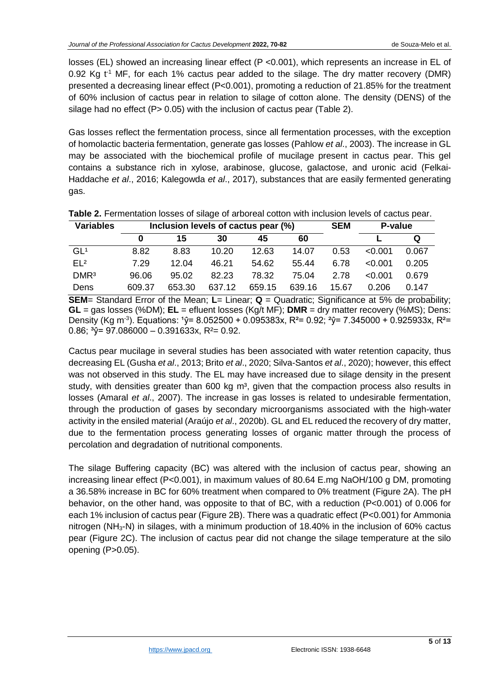losses (EL) showed an increasing linear effect (P <0.001), which represents an increase in EL of 0.92 Kg  $t^1$  MF, for each 1% cactus pear added to the silage. The dry matter recovery (DMR) presented a decreasing linear effect (P<0.001), promoting a reduction of 21.85% for the treatment of 60% inclusion of cactus pear in relation to silage of cotton alone. The density (DENS) of the silage had no effect (P > 0.05) with the inclusion of cactus pear (Table 2).

Gas losses reflect the fermentation process, since all fermentation processes, with the exception of homolactic bacteria fermentation, generate gas losses (Pahlow *et al*., 2003). The increase in GL may be associated with the biochemical profile of mucilage present in cactus pear. This gel contains a substance rich in xylose, arabinose, glucose, galactose, and uronic acid (Felkai-Haddache *et al*., 2016; Kalegowda *et al*., 2017), substances that are easily fermented generating gas.

| <b>Variables</b> |        | Inclusion levels of cactus pear (%) | <b>SEM</b> | P-value |        |       |         |       |
|------------------|--------|-------------------------------------|------------|---------|--------|-------|---------|-------|
|                  |        | 15                                  | 30         | 45      | 60     |       |         |       |
| GL <sup>1</sup>  | 8.82   | 8.83                                | 10.20      | 12.63   | 14.07  | 0.53  | < 0.001 | 0.067 |
| FI <sub>2</sub>  | 7.29   | 12.04                               | 46.21      | 54.62   | 55.44  | 6.78  | < 0.001 | 0.205 |
| DMR <sup>3</sup> | 96.06  | 95.02                               | 82.23      | 78.32   | 75.04  | 2.78  | < 0.001 | 0.679 |
| Dens             | 609.37 | 653.30                              | 637.12     | 659.15  | 639.16 | 15.67 | 0.206   | 0.147 |

**Table 2.** Fermentation losses of silage of arboreal cotton with inclusion levels of cactus pear.

**SEM**= Standard Error of the Mean; **L**= Linear; **Q** = Quadratic; Significance at 5% de probability; **GL** = gas losses (%DM); **EL** = efluent losses (Kg/t MF); **DMR** = dry matter recovery (%MS); Dens: Density (Kg m<sup>-3</sup>). Equations: <sup>1</sup> $\hat{y}$ = 8.052500 + 0.095383x, R<sup>2</sup>= 0.92; <sup>2</sup> $\hat{y}$ = 7.345000 + 0.925933x, R<sup>2</sup>= 0.86;  $\sqrt[3]{7}$  = 97.086000 – 0.391633x, R<sup>2</sup> = 0.92.

Cactus pear mucilage in several studies has been associated with water retention capacity, thus decreasing EL (Gusha *et al*., 2013; Brito *et al*., 2020; Silva-Santos *et al*., 2020); however, this effect was not observed in this study. The EL may have increased due to silage density in the present study, with densities greater than 600 kg  $m<sup>3</sup>$ , given that the compaction process also results in losses (Amaral *et al*., 2007). The increase in gas losses is related to undesirable fermentation, through the production of gases by secondary microorganisms associated with the high-water activity in the ensiled material (Araújo *et al*., 2020b). GL and EL reduced the recovery of dry matter, due to the fermentation process generating losses of organic matter through the process of percolation and degradation of nutritional components.

The silage Buffering capacity (BC) was altered with the inclusion of cactus pear, showing an increasing linear effect (P<0.001), in maximum values of 80.64 E.mg NaOH/100 g DM, promoting a 36.58% increase in BC for 60% treatment when compared to 0% treatment (Figure 2A). The pH behavior, on the other hand, was opposite to that of BC, with a reduction (P<0.001) of 0.006 for each 1% inclusion of cactus pear (Figure 2B). There was a quadratic effect (P<0.001) for Ammonia nitrogen (NH3-N) in silages, with a minimum production of 18.40% in the inclusion of 60% cactus pear (Figure 2C). The inclusion of cactus pear did not change the silage temperature at the silo opening (P>0.05).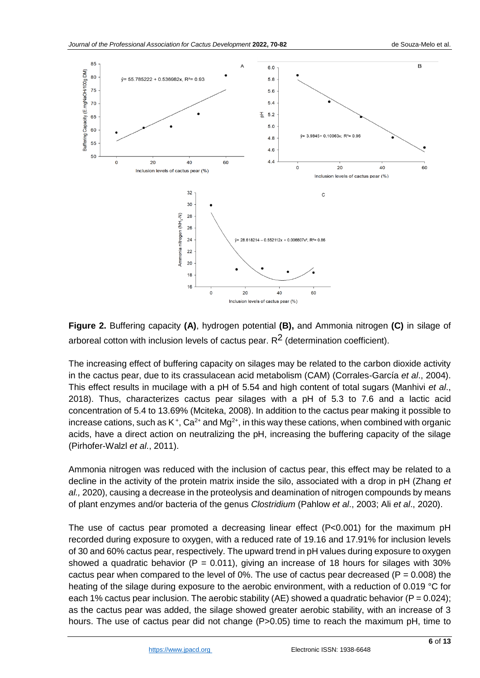

**Figure 2.** Buffering capacity **(A)**, hydrogen potential **(B),** and Ammonia nitrogen **(C)** in silage of arboreal cotton with inclusion levels of cactus pear.  $R^2$  (determination coefficient).

The increasing effect of buffering capacity on silages may be related to the carbon dioxide activity in the cactus pear, due to its crassulacean acid metabolism (CAM) (Corrales-García *et al*., 2004). This effect results in mucilage with a pH of 5.54 and high content of total sugars (Manhivi *et al*., 2018). Thus, characterizes cactus pear silages with a pH of 5.3 to 7.6 and a lactic acid concentration of 5.4 to 13.69% (Mciteka, 2008). In addition to the cactus pear making it possible to increase cations, such as K<sup>+</sup>, Ca<sup>2+</sup> and Mg<sup>2+</sup>, in this way these cations, when combined with organic acids, have a direct action on neutralizing the pH, increasing the buffering capacity of the silage (Pirhofer-Walzl *et al*., 2011).

Ammonia nitrogen was reduced with the inclusion of cactus pear, this effect may be related to a decline in the activity of the protein matrix inside the silo, associated with a drop in pH (Zhang *et al.,* 2020), causing a decrease in the proteolysis and deamination of nitrogen compounds by means of plant enzymes and/or bacteria of the genus *Clostridium* (Pahlow *et al*., 2003; Ali *et al*., 2020).

The use of cactus pear promoted a decreasing linear effect (P<0.001) for the maximum pH recorded during exposure to oxygen, with a reduced rate of 19.16 and 17.91% for inclusion levels of 30 and 60% cactus pear, respectively. The upward trend in pH values during exposure to oxygen showed a quadratic behavior ( $P = 0.011$ ), giving an increase of 18 hours for silages with 30% cactus pear when compared to the level of 0%. The use of cactus pear decreased ( $P = 0.008$ ) the heating of the silage during exposure to the aerobic environment, with a reduction of 0.019 °C for each 1% cactus pear inclusion. The aerobic stability (AE) showed a quadratic behavior (P =  $0.024$ ); as the cactus pear was added, the silage showed greater aerobic stability, with an increase of 3 hours. The use of cactus pear did not change (P>0.05) time to reach the maximum pH, time to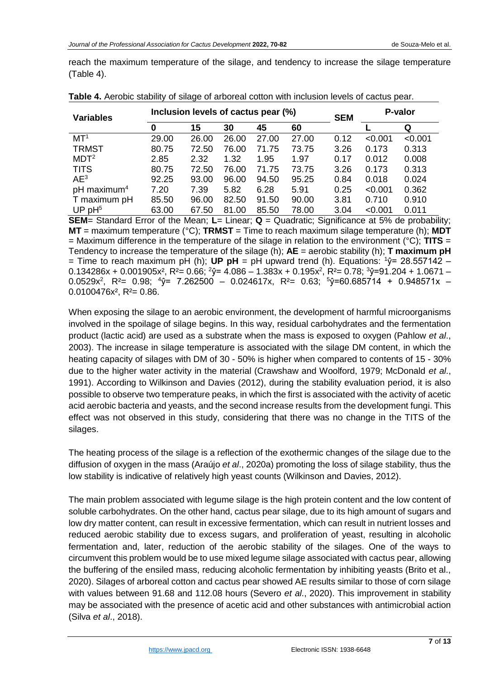reach the maximum temperature of the silage, and tendency to increase the silage temperature (Table 4).

| <b>Variables</b>        | Inclusion levels of cactus pear (%) |       |       |       |       | <b>SEM</b> | P-valor |         |
|-------------------------|-------------------------------------|-------|-------|-------|-------|------------|---------|---------|
|                         | 0                                   | 15    | 30    | 45    | 60    |            |         | Q       |
| MT <sup>1</sup>         | 29.00                               | 26.00 | 26.00 | 27.00 | 27.00 | 0.12       | < 0.001 | < 0.001 |
| <b>TRMST</b>            | 80.75                               | 72.50 | 76.00 | 71.75 | 73.75 | 3.26       | 0.173   | 0.313   |
| MDT <sup>2</sup>        | 2.85                                | 2.32  | 1.32  | 1.95  | 1.97  | 0.17       | 0.012   | 0.008   |
| <b>TITS</b>             | 80.75                               | 72.50 | 76.00 | 71.75 | 73.75 | 3.26       | 0.173   | 0.313   |
| AE <sup>3</sup>         | 92.25                               | 93.00 | 96.00 | 94.50 | 95.25 | 0.84       | 0.018   | 0.024   |
| pH maximum <sup>4</sup> | 7.20                                | 7.39  | 5.82  | 6.28  | 5.91  | 0.25       | < 0.001 | 0.362   |
| T maximum pH            | 85.50                               | 96.00 | 82.50 | 91.50 | 90.00 | 3.81       | 0.710   | 0.910   |
| UP $pH5$                | 63.00                               | 67.50 | 81.00 | 85.50 | 78.00 | 3.04       | < 0.001 | 0.011   |

**Table 4.** Aerobic stability of silage of arboreal cotton with inclusion levels of cactus pear.

**SEM**= Standard Error of the Mean; **L**= Linear; **Q** = Quadratic; Significance at 5% de probability; **MT** = maximum temperature (°C); **TRMST** = Time to reach maximum silage temperature (h); **MDT** = Maximum difference in the temperature of the silage in relation to the environment (°C); **TITS** = Tendency to increase the temperature of the silage (h); **AE** = aerobic stability (h); **T maximum pH** = Time to reach maximum pH (h); **UP pH** = pH upward trend (h). Equations:  $\sqrt[1]{2}$  = 28.557142 –  $0.134286x + 0.001905x^2$ , R<sup>2</sup>= 0.66; <sup>2</sup>ŷ= 4.086  $-$  1.383x + 0.195x<sup>2</sup>, R<sup>2</sup>= 0.78; <sup>3</sup>ŷ=91.204 + 1.0671  $-$ 0.0529x 2 , R²= 0.98; <sup>4</sup>ŷ= 7.262500 – 0.024617x, R²= 0.63; <sup>5</sup>ŷ=60.685714 + 0.948571x –  $0.0100476x^2$ , R<sup>2</sup>= 0.86.

When exposing the silage to an aerobic environment, the development of harmful microorganisms involved in the spoilage of silage begins. In this way, residual carbohydrates and the fermentation product (lactic acid) are used as a substrate when the mass is exposed to oxygen (Pahlow *et al*., 2003). The increase in silage temperature is associated with the silage DM content, in which the heating capacity of silages with DM of 30 - 50% is higher when compared to contents of 15 - 30% due to the higher water activity in the material (Crawshaw and Woolford, 1979; McDonald *et al*., 1991). According to Wilkinson and Davies (2012), during the stability evaluation period, it is also possible to observe two temperature peaks, in which the first is associated with the activity of acetic acid aerobic bacteria and yeasts, and the second increase results from the development fungi. This effect was not observed in this study, considering that there was no change in the TITS of the silages.

The heating process of the silage is a reflection of the exothermic changes of the silage due to the diffusion of oxygen in the mass (Araújo *et al*., 2020a) promoting the loss of silage stability, thus the low stability is indicative of relatively high yeast counts (Wilkinson and Davies, 2012).

The main problem associated with legume silage is the high protein content and the low content of soluble carbohydrates. On the other hand, cactus pear silage, due to its high amount of sugars and low dry matter content, can result in excessive fermentation, which can result in nutrient losses and reduced aerobic stability due to excess sugars, and proliferation of yeast, resulting in alcoholic fermentation and, later, reduction of the aerobic stability of the silages. One of the ways to circumvent this problem would be to use mixed legume silage associated with cactus pear, allowing the buffering of the ensiled mass, reducing alcoholic fermentation by inhibiting yeasts (Brito et al., 2020). Silages of arboreal cotton and cactus pear showed AE results similar to those of corn silage with values between 91.68 and 112.08 hours (Severo *et al*., 2020). This improvement in stability may be associated with the presence of acetic acid and other substances with antimicrobial action (Silva *et al*., 2018).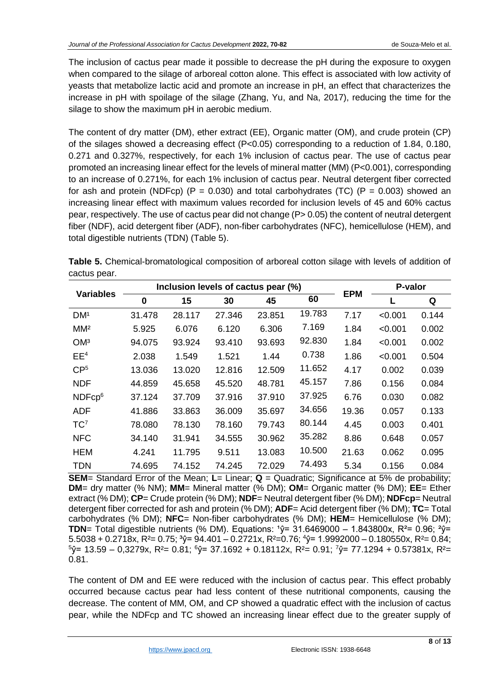The inclusion of cactus pear made it possible to decrease the pH during the exposure to oxygen when compared to the silage of arboreal cotton alone. This effect is associated with low activity of yeasts that metabolize lactic acid and promote an increase in pH, an effect that characterizes the increase in pH with spoilage of the silage (Zhang, Yu, and Na, 2017), reducing the time for the silage to show the maximum pH in aerobic medium.

The content of dry matter (DM), ether extract (EE), Organic matter (OM), and crude protein (CP) of the silages showed a decreasing effect (P<0.05) corresponding to a reduction of 1.84, 0.180, 0.271 and 0.327%, respectively, for each 1% inclusion of cactus pear. The use of cactus pear promoted an increasing linear effect for the levels of mineral matter (MM) (P<0.001), corresponding to an increase of 0.271%, for each 1% inclusion of cactus pear. Neutral detergent fiber corrected for ash and protein (NDFcp) (P = 0.030) and total carbohydrates (TC) (P = 0.003) showed an increasing linear effect with maximum values recorded for inclusion levels of 45 and 60% cactus pear, respectively. The use of cactus pear did not change (P> 0.05) the content of neutral detergent fiber (NDF), acid detergent fiber (ADF), non-fiber carbohydrates (NFC), hemicellulose (HEM), and total digestible nutrients (TDN) (Table 5).

**Table 5.** Chemical-bromatological composition of arboreal cotton silage with levels of addition of cactus pear.

| <b>Variables</b>   | Inclusion levels of cactus pear (%) |        |        |        |        |            | P-valor |       |
|--------------------|-------------------------------------|--------|--------|--------|--------|------------|---------|-------|
|                    | 0                                   | 15     | 30     | 45     | 60     | <b>EPM</b> |         | Q     |
| DM <sup>1</sup>    | 31.478                              | 28.117 | 27.346 | 23.851 | 19.783 | 7.17       | < 0.001 | 0.144 |
| MM <sup>2</sup>    | 5.925                               | 6.076  | 6.120  | 6.306  | 7.169  | 1.84       | < 0.001 | 0.002 |
| OM <sup>3</sup>    | 94.075                              | 93.924 | 93.410 | 93.693 | 92.830 | 1.84       | < 0.001 | 0.002 |
| EE <sup>4</sup>    | 2.038                               | 1.549  | 1.521  | 1.44   | 0.738  | 1.86       | < 0.001 | 0.504 |
| CP <sup>5</sup>    | 13.036                              | 13.020 | 12.816 | 12.509 | 11.652 | 4.17       | 0.002   | 0.039 |
| <b>NDF</b>         | 44.859                              | 45.658 | 45.520 | 48.781 | 45.157 | 7.86       | 0.156   | 0.084 |
| NDFcp <sup>6</sup> | 37.124                              | 37.709 | 37.916 | 37.910 | 37.925 | 6.76       | 0.030   | 0.082 |
| <b>ADF</b>         | 41.886                              | 33.863 | 36.009 | 35.697 | 34.656 | 19.36      | 0.057   | 0.133 |
| TC <sup>7</sup>    | 78.080                              | 78.130 | 78.160 | 79.743 | 80.144 | 4.45       | 0.003   | 0.401 |
| <b>NFC</b>         | 34.140                              | 31.941 | 34.555 | 30.962 | 35.282 | 8.86       | 0.648   | 0.057 |
| <b>HEM</b>         | 4.241                               | 11.795 | 9.511  | 13.083 | 10.500 | 21.63      | 0.062   | 0.095 |
| <b>TDN</b>         | 74.695                              | 74.152 | 74.245 | 72.029 | 74.493 | 5.34       | 0.156   | 0.084 |

**SEM**= Standard Error of the Mean; L= Linear; **Q** = Quadratic; Significance at 5% de probability; **DM**= dry matter (% NM); **MM**= Mineral matter (% DM); **OM**= Organic matter (% DM); **EE**= Ether extract (% DM); **CP**= Crude protein (% DM); **NDF**= Neutral detergent fiber (% DM); **NDFcp**= Neutral detergent fiber corrected for ash and protein (% DM); **ADF**= Acid detergent fiber (% DM); **TC**= Total carbohydrates (% DM); **NFC**= Non-fiber carbohydrates (% DM); **HEM**= Hemicellulose (% DM); **TDN**= Total digestible nutrients (% DM). Equations:  $\hat{v}$ = 31.6469000 – 1.843800x, R<sup>2</sup>= 0.96;  $\hat{v}$ =  $5.5038 + 0.2718x$ , R<sup>2</sup>= 0.75;  $\sqrt[3]{}$  = 94.401 – 0.2721x, R<sup>2</sup>=0.76;  $\sqrt[4]{}$  = 1.9992000 – 0.180550x, R<sup>2</sup>= 0.84;  $5\hat{y}$ = 13.59 – 0,3279x, R<sup>2</sup>= 0.81;  $6\hat{y}$ = 37.1692 + 0.18112x, R<sup>2</sup>= 0.91;  $\hat{y}$ = 77.1294 + 0.57381x, R<sup>2</sup>= 0.81.

The content of DM and EE were reduced with the inclusion of cactus pear. This effect probably occurred because cactus pear had less content of these nutritional components, causing the decrease. The content of MM, OM, and CP showed a quadratic effect with the inclusion of cactus pear, while the NDFcp and TC showed an increasing linear effect due to the greater supply of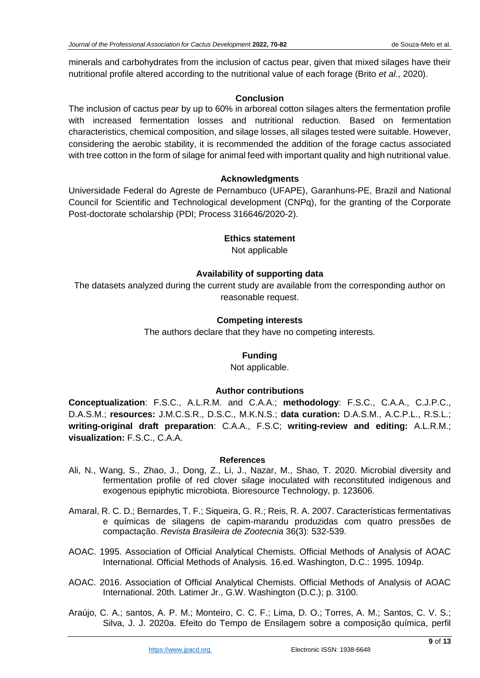minerals and carbohydrates from the inclusion of cactus pear, given that mixed silages have their nutritional profile altered according to the nutritional value of each forage (Brito *et al*., 2020).

## **Conclusion**

The inclusion of cactus pear by up to 60% in arboreal cotton silages alters the fermentation profile with increased fermentation losses and nutritional reduction. Based on fermentation characteristics, chemical composition, and silage losses, all silages tested were suitable. However, considering the aerobic stability, it is recommended the addition of the forage cactus associated with tree cotton in the form of silage for animal feed with important quality and high nutritional value.

## **Acknowledgments**

Universidade Federal do Agreste de Pernambuco (UFAPE), Garanhuns-PE, Brazil and National Council for Scientific and Technological development (CNPq), for the granting of the Corporate Post-doctorate scholarship (PDI; Process 316646/2020-2).

## **Ethics statement**

Not applicable

## **Availability of supporting data**

The datasets analyzed during the current study are available from the corresponding author on reasonable request.

## **Competing interests**

The authors declare that they have no competing interests.

## **Funding**

Not applicable.

#### **Author contributions**

**Conceptualization**: F.S.C., A.L.R.M. and C.A.A.; **methodology**: F.S.C., C.A.A., C.J.P.C., D.A.S.M.; **resources:** J.M.C.S.R., D.S.C., M.K.N.S.; **data curation:** D.A.S.M., A.C.P.L., R.S.L.; **writing-original draft preparation**: C.A.A., F.S.C; **writing-review and editing:** A.L.R.M.; **visualization:** F.S.C., C.A.A.

#### **References**

- Ali, N., Wang, S., Zhao, J., Dong, Z., Li, J., Nazar, M., Shao, T. 2020. Microbial diversity and fermentation profile of red clover silage inoculated with reconstituted indigenous and exogenous epiphytic microbiota. Bioresource Technology, p. 123606.
- Amaral, R. C. D.; Bernardes, T. F.; Siqueira, G. R.; Reis, R. A. 2007. Características fermentativas e químicas de silagens de capim-marandu produzidas com quatro pressões de compactação. *Revista Brasileira de Zootecnia* 36(3): 532-539.
- AOAC. 1995. Association of Official Analytical Chemists. Official Methods of Analysis of AOAC International. Official Methods of Analysis*.* 16.ed. Washington, D.C.: 1995. 1094p.
- AOAC. 2016. Association of Official Analytical Chemists. Official Methods of Analysis of AOAC International. 20th. Latimer Jr., G.W. Washington (D.C.); p. 3100.
- Araújo, C. A.; santos, A. P. M.; Monteiro, C. C. F.; Lima, D. O.; Torres, A. M.; Santos, C. V. S.; Silva, J. J. 2020a. Efeito do Tempo de Ensilagem sobre a composição química, perfil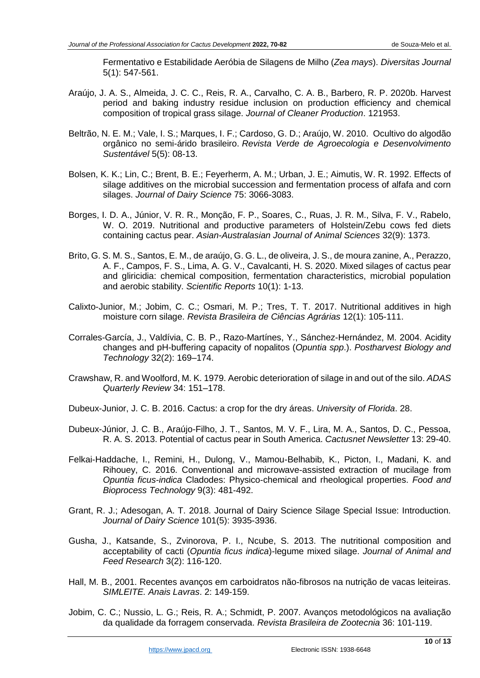Fermentativo e Estabilidade Aeróbia de Silagens de Milho (*Zea mays*). *Diversitas Journal* 5(1): 547-561.

- Araújo, J. A. S., Almeida, J. C. C., Reis, R. A., Carvalho, C. A. B., Barbero, R. P. 2020b. Harvest period and baking industry residue inclusion on production efficiency and chemical composition of tropical grass silage. *Journal of Cleaner Production*. 121953.
- Beltrão, N. E. M.; Vale, I. S.; Marques, I. F.; Cardoso, G. D.; Araújo, W. 2010. Ocultivo do algodão orgânico no semi-árido brasileiro. *Revista Verde de Agroecologia e Desenvolvimento Sustentável* 5(5): 08-13.
- Bolsen, K. K.; Lin, C.; Brent, B. E.; Feyerherm, A. M.; Urban, J. E.; Aimutis, W. R. 1992. Effects of silage additives on the microbial succession and fermentation process of alfafa and corn silages. *Journal of Dairy Science* 75: 3066-3083.
- Borges, I. D. A., Júnior, V. R. R., Monção, F. P., Soares, C., Ruas, J. R. M., Silva, F. V., Rabelo, W. O. 2019. Nutritional and productive parameters of Holstein/Zebu cows fed diets containing cactus pear. *Asian-Australasian Journal of Animal Sciences* 32(9): 1373.
- Brito, G. S. M. S., Santos, E. M., de araújo, G. G. L., de oliveira, J. S., de moura zanine, A., Perazzo, A. F., Campos, F. S., Lima, A. G. V., Cavalcanti, H. S. 2020. Mixed silages of cactus pear and gliricidia: chemical composition, fermentation characteristics, microbial population and aerobic stability. *Scientific Reports* 10(1): 1-13.
- Calixto-Junior, M.; Jobim, C. C.; Osmari, M. P.; Tres, T. T. 2017. Nutritional additives in high moisture corn silage. *Revista Brasileira de Ciências Agrárias* 12(1): 105-111.
- Corrales-García, J., Valdívia, C. B. P., Razo-Martínes, Y., Sánchez-Hernández, M. 2004. Acidity changes and pH-buffering capacity of nopalitos (*Opuntia spp*.). *Postharvest Biology and Technology* 32(2): 169–174.
- Crawshaw, R. and Woolford, M. K. 1979. Aerobic deterioration of silage in and out of the silo. *ADAS Quarterly Review* 34: 151–178.
- Dubeux-Junior, J. C. B. 2016. Cactus: a crop for the dry áreas. *University of Florida*. 28.
- Dubeux-Júnior, J. C. B., Araújo-Filho, J. T., Santos, M. V. F., Lira, M. A., Santos, D. C., Pessoa, R. A. S. 2013. Potential of cactus pear in South America. *Cactusnet Newsletter* 13: 29-40.
- Felkai-Haddache, I., Remini, H., Dulong, V., Mamou-Belhabib, K., Picton, I., Madani, K. and Rihouey, C. 2016. Conventional and microwave-assisted extraction of mucilage from *Opuntia ficus-indica* Cladodes: Physico-chemical and rheological properties. *Food and Bioprocess Technology* 9(3): 481-492.
- Grant, R. J.; Adesogan, A. T. 2018. Journal of Dairy Science Silage Special Issue: Introduction. *Journal of Dairy Science* 101(5): 3935-3936.
- Gusha, J., Katsande, S., Zvinorova, P. I., Ncube, S. 2013. The nutritional composition and acceptability of cacti (*Opuntia ficus indica*)-legume mixed silage. *Journal of Animal and Feed Research* 3(2): 116-120.
- Hall, M. B., 2001. Recentes avanços em carboidratos não-fibrosos na nutrição de vacas leiteiras. *SIMLEITE. Anais Lavras*. 2: 149-159.
- Jobim, C. C.; Nussio, L. G.; Reis, R. A.; Schmidt, P. 2007. Avanços metodológicos na avaliação da qualidade da forragem conservada. *Revista Brasileira de Zootecnia* 36: 101-119.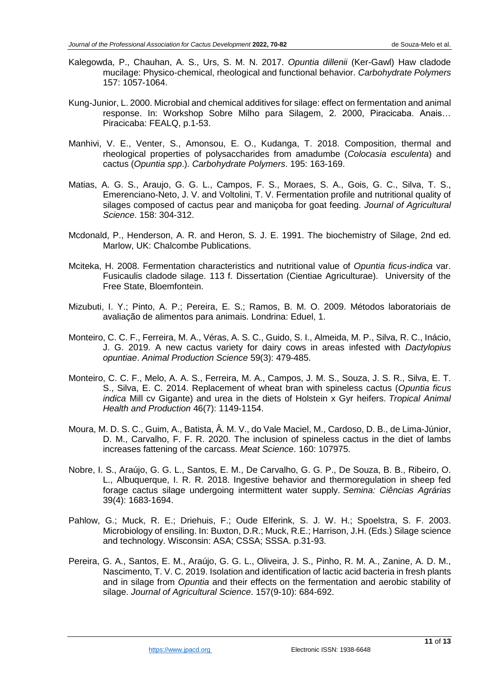- Kalegowda, P., Chauhan, A. S., Urs, S. M. N. 2017. *Opuntia dillenii* (Ker-Gawl) Haw cladode mucilage: Physico-chemical, rheological and functional behavior. *Carbohydrate Polymers* 157: 1057-1064.
- Kung-Junior, L. 2000. Microbial and chemical additives for silage: effect on fermentation and animal response. In: Workshop Sobre Milho para Silagem, 2. 2000, Piracicaba. Anais… Piracicaba: FEALQ, p.1-53.
- Manhivi, V. E., Venter, S., Amonsou, E. O., Kudanga, T. 2018. Composition, thermal and rheological properties of polysaccharides from amadumbe (*Colocasia esculenta*) and cactus (*Opuntia spp*.). *Carbohydrate Polymers*. 195: 163-169.
- Matias, A. G. S., Araujo, G. G. L., Campos, F. S., Moraes, S. A., Gois, G. C., Silva, T. S., Emerenciano-Neto, J. V. and Voltolini, T. V. Fermentation profile and nutritional quality of silages composed of cactus pear and maniçoba for goat feeding. *Journal of Agricultural Science*. 158: 304-312.
- Mcdonald, P., Henderson, A. R. and Heron, S. J. E. 1991. The biochemistry of Silage, 2nd ed. Marlow, UK: Chalcombe Publications.
- Mciteka, H. 2008. Fermentation characteristics and nutritional value of *Opuntia ficus-indica* var. Fusicaulis cladode silage. 113 f. Dissertation (Cientiae Agriculturae). University of the Free State, Bloemfontein.
- Mizubuti, I. Y.; Pinto, A. P.; Pereira, E. S.; Ramos, B. M. O. 2009. Métodos laboratoriais de avaliação de alimentos para animais. Londrina: Eduel, 1.
- Monteiro, C. C. F., Ferreira, M. A., Véras, A. S. C., Guido, S. I., Almeida, M. P., Silva, R. C., Inácio, J. G. 2019. A new cactus variety for dairy cows in areas infested with *Dactylopius opuntiae*. *Animal Production Science* 59(3): 479-485.
- Monteiro, C. C. F., Melo, A. A. S., Ferreira, M. A., Campos, J. M. S., Souza, J. S. R., Silva, E. T. S., Silva, E. C. 2014. Replacement of wheat bran with spineless cactus (*Opuntia ficus indica* Mill cv Gigante) and urea in the diets of Holstein x Gyr heifers. *Tropical Animal Health and Production* 46(7): 1149-1154.
- Moura, M. D. S. C., Guim, A., Batista, Â. M. V., do Vale Maciel, M., Cardoso, D. B., de Lima-Júnior, D. M., Carvalho, F. F. R. 2020. The inclusion of spineless cactus in the diet of lambs increases fattening of the carcass. *Meat Science*. 160: 107975.
- Nobre, I. S., Araújo, G. G. L., Santos, E. M., De Carvalho, G. G. P., De Souza, B. B., Ribeiro, O. L., Albuquerque, I. R. R. 2018. Ingestive behavior and thermoregulation in sheep fed forage cactus silage undergoing intermittent water supply. *Semina: Ciências Agrárias* 39(4): 1683-1694.
- Pahlow, G.; Muck, R. E.; Driehuis, F.; Oude Elferink, S. J. W. H.; Spoelstra, S. F. 2003. Microbiology of ensiling. In: Buxton, D.R.; Muck, R.E.; Harrison, J.H. (Eds.) Silage science and technology. Wisconsin: ASA; CSSA; SSSA. p.31-93.
- Pereira, G. A., Santos, E. M., Araújo, G. G. L., Oliveira, J. S., Pinho, R. M. A., Zanine, A. D. M., Nascimento, T. V. C. 2019. Isolation and identification of lactic acid bacteria in fresh plants and in silage from *Opuntia* and their effects on the fermentation and aerobic stability of silage. *Journal of Agricultural Science*. 157(9-10): 684-692.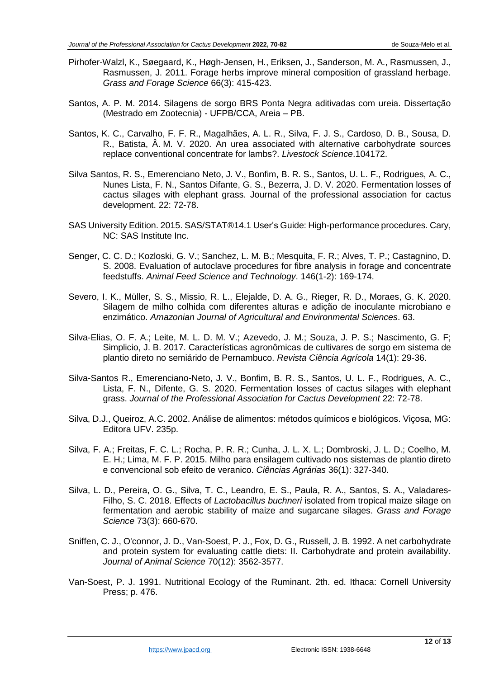- Pirhofer‐Walzl, K., Søegaard, K., Høgh‐Jensen, H., Eriksen, J., Sanderson, M. A., Rasmussen, J., Rasmussen, J. 2011. Forage herbs improve mineral composition of grassland herbage. *Grass and Forage Science* 66(3): 415-423.
- Santos, A. P. M. 2014. Silagens de sorgo BRS Ponta Negra aditivadas com ureia. Dissertação (Mestrado em Zootecnia) - UFPB/CCA, Areia – PB.
- Santos, K. C., Carvalho, F. F. R., Magalhães, A. L. R., Silva, F. J. S., Cardoso, D. B., Sousa, D. R., Batista, Â. M. V. 2020. An urea associated with alternative carbohydrate sources replace conventional concentrate for lambs?. *Livestock Science*.104172.
- Silva Santos, R. S., Emerenciano Neto, J. V., Bonfim, B. R. S., Santos, U. L. F., Rodrigues, A. C., Nunes Lista, F. N., Santos Difante, G. S., Bezerra, J. D. V. 2020. Fermentation losses of cactus silages with elephant grass. Journal of the professional association for cactus development. 22: 72-78.
- SAS University Edition. 2015. SAS/STAT®14.1 User's Guide: High-performance procedures. Cary, NC: SAS Institute Inc.
- Senger, C. C. D.; Kozloski, G. V.; Sanchez, L. M. B.; Mesquita, F. R.; Alves, T. P.; Castagnino, D. S. 2008. Evaluation of autoclave procedures for fibre analysis in forage and concentrate feedstuffs. *Animal Feed Science and Technology*. 146(1-2): 169-174.
- Severo, I. K., Müller, S. S., Missio, R. L., Elejalde, D. A. G., Rieger, R. D., Moraes, G. K. 2020. Silagem de milho colhida com diferentes alturas e adição de inoculante microbiano e enzimático. *Amazonian Journal of Agricultural and Environmental Sciences*. 63.
- Silva-Elias, O. F. A.; Leite, M. L. D. M. V.; Azevedo, J. M.; Souza, J. P. S.; Nascimento, G. F; Simplicio, J. B. 2017. Características agronômicas de cultivares de sorgo em sistema de plantio direto no semiárido de Pernambuco. *Revista Ciência Agrícola* 14(1): 29-36.
- Silva-Santos R., Emerenciano-Neto, J. V., Bonfim, B. R. S., Santos, U. L. F., Rodrigues, A. C., Lista, F. N., Difente, G. S. 2020. Fermentation losses of cactus silages with elephant grass. *Journal of the Professional Association for Cactus Development* 22: 72-78.
- Silva, D.J., Queiroz, A.C. 2002. Análise de alimentos: métodos químicos e biológicos. Viçosa, MG: Editora UFV. 235p.
- Silva, F. A.; Freitas, F. C. L.; Rocha, P. R. R.; Cunha, J. L. X. L.; Dombroski, J. L. D.; Coelho, M. E. H.; Lima, M. F. P. 2015. Milho para ensilagem cultivado nos sistemas de plantio direto e convencional sob efeito de veranico. *Ciências Agrárias* 36(1): 327-340.
- Silva, L. D., Pereira, O. G., Silva, T. C., Leandro, E. S., Paula, R. A., Santos, S. A., Valadares-Filho, S. C. 2018. Effects of *Lactobacillus buchneri* isolated from tropical maize silage on fermentation and aerobic stability of maize and sugarcane silages. *Grass and Forage Science* 73(3): 660-670.
- Sniffen, C. J., O'connor, J. D., Van-Soest, P. J., Fox, D. G., Russell, J. B. 1992. A net carbohydrate and protein system for evaluating cattle diets: II. Carbohydrate and protein availability. *Journal of Animal Science* 70(12): 3562-3577.
- Van-Soest, P. J. 1991. Nutritional Ecology of the Ruminant. 2th. ed. Ithaca: Cornell University Press; p. 476.